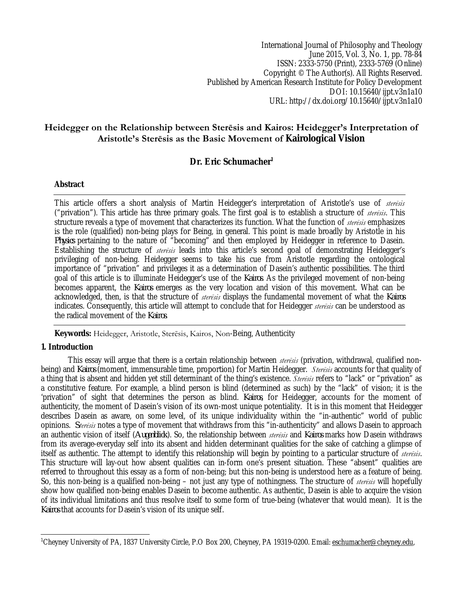International Journal of Philosophy and Theology June 2015, Vol. 3, No. 1, pp. 78-84 ISSN: 2333-5750 (Print), 2333-5769 (Online) Copyright © The Author(s). All Rights Reserved. Published by American Research Institute for Policy Development DOI: 10.15640/ijpt.v3n1a10 URL: http://dx.doi.org/10.15640/ijpt.v3n1a10

## **Heidegger on the Relationship between Sterēsis and Kairos: Heidegger's Interpretation of Aristotle's Sterēsis as the Basic Movement of Kairological Vision**

# **Dr. Eric Schumacher<sup>1</sup>**

## **Abstract**

This article offers a short analysis of Martin Heidegger's interpretation of Aristotle's use of *sterēsis* ("privation"). This article has three primary goals. The first goal is to establish a structure of *sterēsis*. This structure reveals a type of movement that characterizes its function. What the function of *sterēsis* emphasizes is the role (qualified) non-being plays for Being, in general. This point is made broadly by Aristotle in his *Physics* pertaining to the nature of "becoming" and then employed by Heidegger in reference to Dasein. Establishing the structure of *sterēsis* leads into this article's second goal of demonstrating Heidegger's privileging of non-being. Heidegger seems to take his cue from Aristotle regarding the ontological importance of "privation" and privileges it as a determination of Dasein's authentic possibilities. The third goal of this article is to illuminate Heidegger's use of the *Kairos*. As the privileged movement of non-being becomes apparent, the *Kairos* emerges as the very location and vision of this movement. What can be acknowledged, then, is that the structure of *sterēsis* displays the fundamental movement of what the *Kairos* indicates. Consequently, this article will attempt to conclude that for Heidegger *sterēsis* can be understood as the radical movement of the *Kairos*.

**Keywords:** Heidegger, Aristotle, Sterēsis, Kairos, Non-Being, Authenticity

## **1. Introduction**

This essay will argue that there is a certain relationship between *sterēsis* (privation, withdrawal, qualified nonbeing) and *Kairos* (moment, immensurable time, proportion) for Martin Heidegger. *Sterēsis* accounts for that quality of a thing that is absent and hidden yet still determinant of the thing's existence. *Sterēsis* refers to "lack" or "privation" as a constitutive feature. For example, a blind person is blind (determined as such) by the "lack" of vision; it is the 'privation" of sight that determines the person as blind. *Kairos*, for Heidegger, accounts for the moment of authenticity, the moment of Dasein's vision of its own-most unique potentiality. It is in this moment that Heidegger describes Dasein as aware, on some level, of its unique individuality within the "in-authentic" world of public opinions. *Sterēsis* notes a type of movement that withdraws from this "in-authenticity" and allows Dasein to approach an authentic vision of itself (*Augenblick*). So, the relationship between *sterēsis* and *Kairos* marks how Dasein withdraws from its average-everyday self into its absent and hidden determinant qualities for the sake of catching a glimpse of itself as authentic. The attempt to identify this relationship will begin by pointing to a particular structure of *sterēsis*. This structure will lay-out how absent qualities can in-form one's present situation. These "absent" qualities are referred to throughout this essay as a form of non-being; but this non-being is understood here as a feature of being. So, this non-being is a qualified non-being – not just any type of nothingness. The structure of *sterēsis* will hopefully show how qualified non-being enables Dasein to become authentic. As authentic, Dasein is able to acquire the vision of its individual limitations and thus resolve itself to some form of true-being (whatever that would mean). It is the *Kairos* that accounts for Dasein's vision of its unique self.

 $\overline{a}$ <sup>1</sup>Cheyney University of PA, 1837 University Circle, P.O Box 200, Cheyney, PA 19319-0200. Email: eschumacher@cheyney.edu,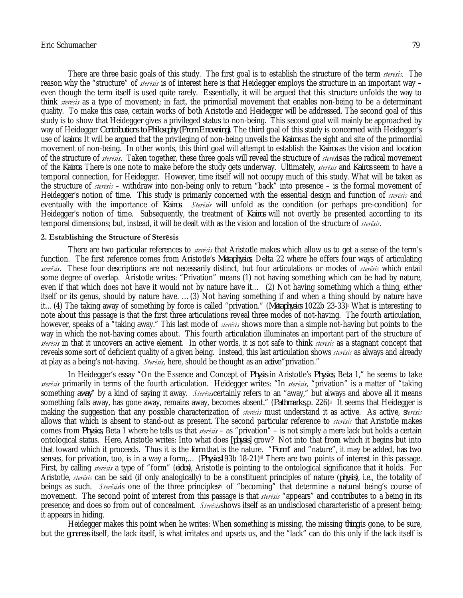There are three basic goals of this study. The first goal is to establish the structure of the term *sterēsis.* The reason why the "structure" of *sterēsis* is of interest here is that Heidegger employs the structure in an important way – even though the term itself is used quite rarely. Essentially, it will be argued that this structure unfolds the way to think *sterēsis* as a type of movement; in fact, the primordial movement that enables non-being to be a determinant quality. To make this case, certain works of both Aristotle and Heidegger will be addressed. The second goal of this study is to show that Heidegger gives a privileged status to non-being. This second goal will mainly be approached by way of Heidegger *Contributions to Philosophy (From Enowning)*. The third goal of this study is concerned with Heidegger's use of *kairos*. It will be argued that the privileging of non-being unveils the *Kairos* as the sight and site of the primordial movement of non-being. In other words, this third goal will attempt to establish the *Kairos* as the vision and location of the structure of *sterēsis*. Taken together, these three goals will reveal the structure of *sterēsis* as the radical movement of the *Kairos*. There is one note to make before the study gets underway. Ultimately, *sterēsis* and *Kairos* seem to have a temporal connection, for Heidegger. However, time itself will not occupy much of this study. What will be taken as the structure of *sterēsis* – withdraw into non-being only to return "back" into presence – is the formal movement of Heidegger's notion of time. This study is primarily concerned with the essential design and function of *sterēsis* and eventually with the importance of *Kairos*. *Sterēsis* will unfold as the condition (or perhaps pre-condition) for Heidegger's notion of time. Subsequently, the treatment of *Kairos* will not overtly be presented according to its temporal dimensions; but, instead, it will be dealt with as the vision and location of the structure of *sterēsis*.

## **2. Establishing the Structure of Sterēsis**

There are two particular references to *sterēsis* that Aristotle makes which allow us to get a sense of the term's function. The first reference comes from Aristotle's *Metaphysics*, Delta 22 where he offers four ways of articulating *sterēsis*. These four descriptions are not necessarily distinct, but four articulations or modes of *sterēsis* which entail some degree of overlap. Aristotle writes: "Privation" means (1) not having something which can be had by nature, even if that which does not have it would not by nature have it… (2) Not having something which a thing, either itself or its genus, should by nature have. …(3) Not having something if and when a thing should by nature have it…(4) The taking away of something by force is called "privation." (*Metaphysics* 1022b 23-33)<sup>i</sup> What is interesting to note about this passage is that the first three articulations reveal three modes of not-having. The fourth articulation, however, speaks of a "taking away." This last mode of *sterēsis* shows more than a simple not-having but points to the way in which the not-having comes about. This fourth articulation illuminates an important part of the structure of *sterēsis* in that it uncovers an active element. In other words, it is not safe to think *sterēsis* as a stagnant concept that reveals some sort of deficient quality of a given being. Instead, this last articulation shows *sterēsis* as always and already at play as a being's not-having. *Sterēsis,* here, should be thought as an *active* "privation."

In Heidegger's essay "On the Essence and Concept of *Physis* in Aristotle's *Physics*, Beta 1," he seems to take *sterēsis* primarily in terms of the fourth articulation. Heidegger writes: "In *sterēsis*, "privation" is a matter of "taking something *away*" by a kind of saying it away. *Sterēsis*certainly refers to an "away," but always and above all it means something falls away, has gone away, remains away, becomes absent." (*Pathmarks*,p. 226)ii It seems that Heidegger is making the suggestion that any possible characterization of *sterēsis* must understand it as active. As active, *sterēsis* allows that which is absent to stand-out as present. The second particular reference to *sterēsis* that Aristotle makes comes from *Physics*, Beta 1 where he tells us that *sterēsis* – as "privation" – is not simply a mere lack but holds a certain ontological status. Here, Aristotle writes: Into what does [*physis*] grow? Not into that from which it begins but into that toward which it proceeds. Thus it is the *form* that is the nature. "*Form*" and "nature", it may be added, has two senses, for privation, too, is in a way a form;… (*Physics*193b 18-21)iii There are two points of interest in this passage. First, by calling *sterēsis* a type of "form" (*eidos*), Aristotle is pointing to the ontological significance that it holds. For Aristotle, *sterēsis* can be said (if only analogically) to be a constituent principles of nature (*physis*), i.e., the totality of beings as such. *Sterēsis*is one of the three principlesiv of "becoming" that determine a natural being's course of movement. The second point of interest from this passage is that *sterēsis* "appears" and contributes to a being in its presence; and does so from out of concealment. *Sterēsis*shows itself as an undisclosed characteristic of a present being; it appears in hiding.

Heidegger makes this point when he writes: When something is missing, the missing *thing* is gone, to be sure, but the *goneness* itself, the lack itself, is what irritates and upsets us, and the "lack" can do this only if the lack itself is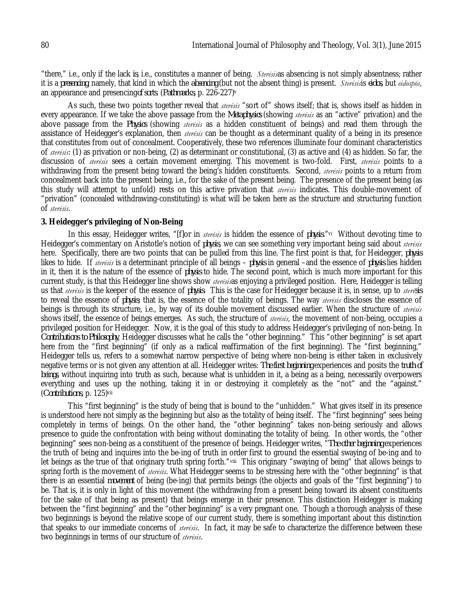"there," i.e., only if the lack *is*, i.e., constitutes a manner of being. *Sterēsis*as absencing is not simply absentness; rather it is a *presencing*, namely, that kind in which the *absencing* (but not the absent thing) is present. *Sterēsis*is *eidos*, but *eidospōs*, an appearance and presencing*of sorts*. (*Pathmarks*, p. 226-227)<sup>v</sup>

As such, these two points together reveal that *sterēsis* "sort of" shows itself; that is, shows itself as hidden in every appearance. If we take the above passage from the *Metaphysics* (showing *sterēsis* as an "active" privation) and the above passage from the *Physics* (showing *sterēsis* as a hidden constituent of beings) and read them through the assistance of Heidegger's explanation, then *sterēsis* can be thought as a determinant quality of a being in its presence that constitutes from out of concealment. Cooperatively, these two references illuminate four dominant characteristics of *sterēsis*: (1) as privation or non-being, (2) as determinant or constitutional, (3) as active and (4) as hidden. So far, the discussion of *sterēsis* sees a certain movement emerging. This movement is two-fold. First, *sterēsis* points to a withdrawing from the present being toward the being's hidden constituents. Second, *sterēsis* points to a return from concealment back into the present being, i.e., for the sake of the present being. The presence of the present being (as this study will attempt to unfold) rests on this active privation that *sterēsis* indicates. This double-movement of "privation" (concealed withdrawing-constituting) is what will be taken here as the structure and structuring function of *sterēsis*.

## **3. Heidegger's privileging of Non-Being**

In this essay, Heidegger writes, "[f]or in *sterēsis* is hidden the essence of *physis*."vi Without devoting time to Heidegger's commentary on Aristotle's notion of *physis*, we can see something very important being said about *sterēsis* here. Specifically, there are two points that can be pulled from this line. The first point is that, for Heidegger, *physis* likes to hide. If *sterēsis* is a determinant principle of all beings – *physis* in general –and the essence of *physis* lies hidden in it, then it is the nature of the essence of *physis* to hide. The second point, which is much more important for this current study, is that this Heidegger line shows show *sterēsis*as enjoying a privileged position. Here, Heidegger is telling us that *sterēsis* is the keeper of the essence of *physis*. This is the case for Heidegger because it is, in sense, up to *sterēsis* to reveal the essence of *physis*; that is, the essence of the totality of beings. The way *sterēsis* discloses the essence of beings is through its structure, i.e., by way of its double movement discussed earlier. When the structure of *sterēsis* shows itself, the essence of beings emerges. As such, the structure of *sterēsis*, the movement of non-being, occupies a privileged position for Heidegger. Now, it is the goal of this study to address Heidegger's privileging of non-being. In *Contributions to Philosophy*, Heidegger discusses what he calls the "other beginning." This "other beginning" is set apart here from the "first beginning" (if only as a radical reaffirmation of the first beginning). The "first beginning," Heidegger tells us, refers to a somewhat narrow perspective of being where non-being is either taken in exclusively negative terms or is not given any attention at all. Heidegger writes: *The first beginning* experiences and posits the *truth of beings*, without inquiring into truth as such, because what is unhidden in it, a being as a being, necessarily overpowers everything and uses up the nothing, taking it in or destroying it completely as the "not" and the "against." (*Contributions*, p. 125)vii

This "first beginning" is the study of being that is bound to the "unhidden." What gives itself in its presence is understood here not simply as the beginning but also as the totality of being itself. The "first beginning" sees being completely in terms of beings. On the other hand, the "other beginning" takes non-being seriously and allows presence to guide the confrontation with being without dominating the totality of being. In other words, the "other beginning" sees non-being as a constituent of the presence of beings. Heidegger writes, "*The other beginning* experiences the truth of being and inquires into the be-ing of truth in order first to ground the essential swaying of be-ing and to let beings as the true of that originary truth spring forth."viii This originary "swaying of being" that allows beings to spring forth is the movement of *sterēsis*. What Heidegger seems to be stressing here with the "other beginning" is that there is an essential *movement* of being (be-ing) that permits beings (the objects and goals of the "first beginning") to be. That is, it is only in light of this movement (the withdrawing from a present being toward its absent constituents for the sake of that being as present) that beings emerge in their presence. This distinction Heidegger is making between the "first beginning" and the "other beginning" is a very pregnant one. Though a thorough analysis of these two beginnings is beyond the relative scope of our current study, there is something important about this distinction that speaks to our immediate concerns of *sterēsis*. In fact, it may be safe to characterize the difference between these two beginnings in terms of our structure of *sterēsis*.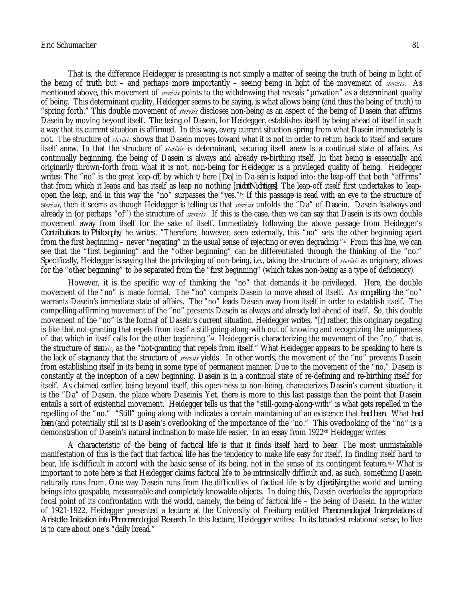#### Eric Schumacher 81

That is, the difference Heidegger is presenting is not simply a matter of seeing the truth of being in light of the being of truth but – and perhaps more importantly – seeing being in light of the movement of *sterēsis*. As mentioned above, this movement of *sterēsis* points to the withdrawing that reveals "privation" as a determinant quality of being. This determinant quality, Heidegger seems to be saying, is what allows being (and thus the being of truth) to "spring forth." This double movement of *sterēsis* discloses non-being as an aspect of the being of Dasein that affirms Dasein by moving beyond itself. The being of Dasein, for Heidegger, establishes itself by being ahead of itself in such a way that its current situation is affirmed. In this way, every current situation spring from what Dasein immediately is not. The structure of *sterēsis* shows that Dasein moves toward what it is not in order to return back to itself and secure itself anew. In that the structure of *sterēsis* is determinant, securing itself anew is a continual state of affairs. As continually beginning, the being of Dasein is always and already re-birthing itself. In that being is essentially and originarily thrown-forth from what it is not, non-being for Heidegger is a privileged quality of being. Heidegger writes: The "no" is the great leap-*off*, by which t/here [*Da*] in Da-*sein* is leaped into: the leap-off that both "affirms" that from which it leaps and has itself as leap no nothing [*nichtNichtiges*]. The leap-off itself first undertakes to leapopen the leap, and in this way the "no" surpasses the "yes."ix If this passage is read with an eye to the structure of *sterēsis*, then it seems as though Heidegger is telling us that *sterēsis* unfolds the "Da" of Dasein. Dasein *is* always and already in (or perhaps "of") the structure of *sterēsis*. If this is the case, then we can say that Dasein is its own double movement away from itself for the sake of itself. Immediately following the above passage from Heidegger's *Contributions to Philosophy*, he writes, "Therefore, however, seen externally, this "no" sets the other beginning apart from the first beginning – never "negating" in the usual sense of rejecting or even degrading."<sup>x</sup> From this line, we can see that the "first beginning" and the "other beginning" can be differentiated through the thinking of the "no." Specifically, Heidegger is saying that the privileging of non-being, i.e., taking the structure of *sterēsis* as originary, allows for the "other beginning" to be separated from the "first beginning" (which takes non-being as a type of deficiency).

However, it is the specific way of thinking the "no" that demands it be privileged. Here, the double movement of the "no" is made formal. The "no" compels Dasein to move ahead of itself. As *compelling*, the "no" warrants Dasein's immediate state of affairs. The "no" leads Dasein away from itself in order to establish itself. The compelling-affirming movement of the "no" presents Dasein as always and already led ahead of itself. So, this double movement of the "no" is the format of Dasein's current situation. Heidegger writes, "[r] rather, this originary negating is like that not-granting that repels from itself a still-going-along-with out of knowing and recognizing the uniqueness of that which in itself calls for the other beginning."×i Heidegger is characterizing the movement of the "no," that is, the structure of *sterēsis*, as the "not-granting that repels from itself." What Heidegger appears to be speaking to here is the lack of stagnancy that the structure of *sterēsis* yields. In other words, the movement of the "no" prevents Dasein from establishing itself in its being in some type of permanent manner. Due to the movement of the "no," Dasein is constantly at the inception of a new beginning. Dasein is in a continual state of re-defining and re-birthing itself for itself. As claimed earlier, being beyond itself, this open-ness to non-being, characterizes Dasein's current situation; it is the "Da" of Dasein, the place where Dasein*is*. Yet, there is more to this last passage than the point that Dasein entails a sort of existential movement. Heidegger tells us that the "still-going-along-with" is what gets repelled in the repelling of the "no." "Still" going along with indicates a certain maintaining of an existence that *had been*. What *had been* (and potentially still is) is Dasein's overlooking of the importance of the "no." This overlooking of the "no" is a demonstration of Dasein's natural inclination to make life easier. In an essay from 1922<sup>xii</sup> Heidegger writes:

A characteristic of the being of factical life is that it finds itself hard to bear. The most unmistakable manifestation of this is the fact that factical life has the tendency to make life easy for itself. In finding itself hard to bear, life *is* difficult in accord with the basic sense of its being, not in the sense of its contingent feature.xiii What is important to note here is that Heidegger claims factical life to be intrinsically difficult and, as such, something Dasein naturally runs from. One way Dasein runs from the difficulties of factical life is by *objectifying* the world and turning beings into graspable, measureable and completely knowable objects. In doing this, Dasein overlooks the appropriate focal point of its confrontation with the world, namely, the being of factical life – the being of Dasein. In the winter of 1921-1922, Heidegger presented a lecture at the University of Freiburg entitled *Phenomenological Interpretations of Aristotle: Initiation into Phenomenological Research*. In this lecture, Heidegger writes: In its broadest relational sense, to live is to care about one's "daily bread."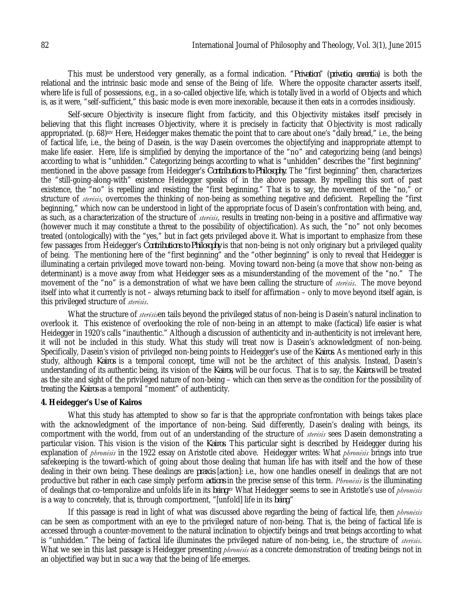This must be understood very generally, as a formal indication. "*Privation*" (*privatio, carentia*) is both the relational and the intrinsic basic mode and sense of the Being of life. Where the opposite character asserts itself, where life is full of possessions, e.g., in a so-called objective life, which is totally lived in a world of Objects and which is, as it were, "self-sufficient," this basic mode is even more inexorable, because it then eats in a corrodes insidiously.

Self-secure Objectivity is insecure flight from facticity, and this Objectivity mistakes itself precisely in believing that this flight increases Objectivity, where it is precisely in facticity that Objectivity is most radically appropriated. (p. 68)<sup>xiv</sup> Here, Heidegger makes thematic the point that to care about one's "daily bread," i.e., the being of factical life, i.e., the being of Dasein, is the way Dasein overcomes the objectifying and inappropriate attempt to make life easier. Here, life is simplified by denying the importance of the "no" and categorizing being (and beings) according to what is "unhidden." Categorizing beings according to what is "unhidden" describes the "first beginning" mentioned in the above passage from Heidegger's *Contributions to Philosophy*. The "first beginning" then, characterizes the "still-going-along-with" existence Heidegger speaks of in the above passage. By repelling this sort of past existence, the "no" is repelling and resisting the "first beginning." That is to say, the movement of the "no," or structure of *sterēsis*, overcomes the thinking of non-being as something negative and deficient. Repelling the "first beginning," which now can be understood in light of the appropriate focus of Dasein's confrontation with being, and, as such, as a characterization of the structure of *sterēsis*, results in treating non-being in a positive and affirmative way (however much it may constitute a threat to the possibility of objectification). As such, the "no" not only becomes treated (ontologically) with the "yes," but in fact gets privileged above it. What is important to emphasize from these few passages from Heidegger's *Contributions to Philosophy* is that non-being is not only originary but a privileged quality of being. The mentioning here of the "first beginning" and the "other beginning" is only to reveal that Heidegger is illuminating a certain privileged move toward non-being. Moving toward non-being (a move that show non-being as determinant) is a move away from what Heidegger sees as a misunderstanding of the movement of the "no." The movement of the "no" is a demonstration of what we have been calling the structure of *sterēsis*. The move beyond itself into what it currently is not – always returning back to itself for affirmation – only to move beyond itself again, is this privileged structure of *sterēsis*.

What the structure of *sterēsis*en tails beyond the privileged status of non-being is Dasein's natural inclination to overlook it. This existence of overlooking the role of non-being in an attempt to make (factical) life easier is what Heidegger in 1920's calls "inauthentic." Although a discussion of authenticity and in-authenticity is not irrelevant here, it will not be included in this study. What this study will treat now is Dasein's acknowledgment of non-being. Specifically, Dasein's vision of privileged non-being points to Heidegger's use of the *Kairos*. As mentioned early in this study, although *Kairos* is a temporal concept, time will not be the architect of this analysis. Instead, Dasein's understanding of its authentic being, its vision of the *Kairos*, will be our focus. That is to say, the *Kairos* will be treated as the site and sight of the privileged nature of non-being – which can then serve as the condition for the possibility of treating the *Kairos* as a temporal "moment" of authenticity.

## **4. Heidegger's Use of Kairos**

What this study has attempted to show so far is that the appropriate confrontation with beings takes place with the acknowledgment of the importance of non-being. Said differently, Dasein's dealing with beings, its comportment with the world, from out of an understanding of the structure of *sterēsis* sees Dasein demonstrating a particular vision. This vision is the vision of the *Kairos*. This particular sight is described by Heidegger during his explanation of *phronēsis* in the 1922 essay on Aristotle cited above. Heidegger writes: What *phronēsis* brings into true safekeeping is the toward-which of going about those dealing that human life has with itself and the how of these dealing in their own being. These dealings are *praxis* [action]: i.e., how one handles oneself in dealings that are not productive but rather in each case simply perform *actions* in the precise sense of this term. *Phronēsis* is the illuminating of dealings that co-temporalize and unfolds life in its *being*.w What Heidegger seems to see in Aristotle's use of *phronēsis* is a way to concretely, that is, through comportment, "[unfold] life in its *being*."

If this passage is read in light of what was discussed above regarding the being of factical life, then *phronēsis* can be seen as comportment with an eye to the privileged nature of non-being. That is, the being of factical life is accessed through a counter-movement to the natural inclination to objectify beings and treat beings according to what is "unhidden." The being of factical life illuminates the privileged nature of non-being, i.e., the structure of *sterēsis*. What we see in this last passage is Heidegger presenting *phronēsis* as a concrete demonstration of treating beings not in an objectified way but in suc a way that the being of life emerges.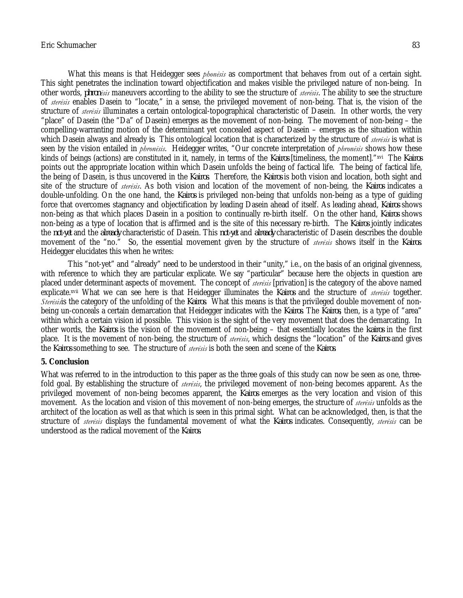## Eric Schumacher 83

What this means is that Heidegger sees *phonēsis* as comportment that behaves from out of a certain sight. This sight penetrates the inclination toward objectification and makes visible the privileged nature of non-being. In other words, *phronēsis* maneuvers according to the ability to see the structure of *sterēsis*. The ability to see the structure of *sterēsis* enables Dasein to "locate," in a sense, the privileged movement of non-being. That is, the vision of the structure of *sterēsis* illuminates a certain ontological-topographical characteristic of Dasein. In other words, the very "place" of Dasein (the "Da" of Dasein) emerges as the movement of non-being. The movement of non-being – the compelling-warranting motion of the determinant yet concealed aspect of Dasein – emerges as the situation within which Dasein always and already *is*. This ontological location that is characterized by the structure of *sterēsis* is what is seen by the vision entailed in *phronēsis*. Heidegger writes, "Our concrete interpretation of *phronēsis* shows how these kinds of beings (actions) are constituted in it, namely, in terms of the *Kairos* [timeliness, the moment]."xvi The *Kairos* points out the appropriate location within which Dasein unfolds the being of factical life. The being of factical life, the being of Dasein, is thus uncovered in the *Kairos*. Therefore, the *Kairos* is both vision and location, both sight and site of the structure of *sterēsis*. As both vision and location of the movement of non-being, the *Kairos* indicates a double-unfolding. On the one hand, the *Kairos* is privileged non-being that unfolds non-being as a type of guiding force that overcomes stagnancy and objectification by leading Dasein ahead of itself. As leading ahead, *Kairos* shows non-being as that which places Dasein in a position to continually re-birth itself. On the other hand, *Kairos* shows non-being as a type of location that is affirmed and is the site of this necessary re-birth. The *Kairos* jointly indicates the *not-yet* and the *already* characteristic of Dasein. This *not-yet* and *already* characteristic of Dasein describes the double movement of the "no." So, the essential movement given by the structure of *sterēsis* shows itself in the *Kairos*. Heidegger elucidates this when he writes:

This "not-yet" and "already" need to be understood in their "unity," i.e., on the basis of an original givenness, with reference to which they are particular explicate. We say "particular" because here the objects in question are placed under determinant aspects of movement. The concept of *sterēsis* [privation] is the category of the above named explicate.xvii What we can see here is that Heidegger illuminates the *Kairos* and the structure of *sterēsis* together. *Sterēsis*is the category of the unfolding of the *Kairos*. What this means is that the privileged double movement of nonbeing un-conceals a certain demarcation that Heidegger indicates with the *Kairos*. The *Kairos*, then, is a type of "area" within which a certain vision id possible. This vision is the sight of the very movement that does the demarcating. In other words, the *Kairos* is the vision of the movement of non-being – that essentially locates the *kairos* in the first place. It is the movement of non-being, the structure of *sterēsis*, which designs the "location" of the *Kairos* and gives the *Kairos* something to see. The structure of *sterēsis* is both the seen and scene of the *Kairos*.

## **5. Conclusion**

What was referred to in the introduction to this paper as the three goals of this study can now be seen as one, threefold goal. By establishing the structure of *sterēsis*, the privileged movement of non-being becomes apparent. As the privileged movement of non-being becomes apparent, the *Kairos* emerges as the very location and vision of this movement. As the location and vision of this movement of non-being emerges, the structure of *sterēsis* unfolds as the architect of the location as well as that which is seen in this primal sight. What can be acknowledged, then, is that the structure of *sterēsis* displays the fundamental movement of what the *Kairos* indicates. Consequently, *sterēsis* can be understood as the radical movement of the *Kairos*.